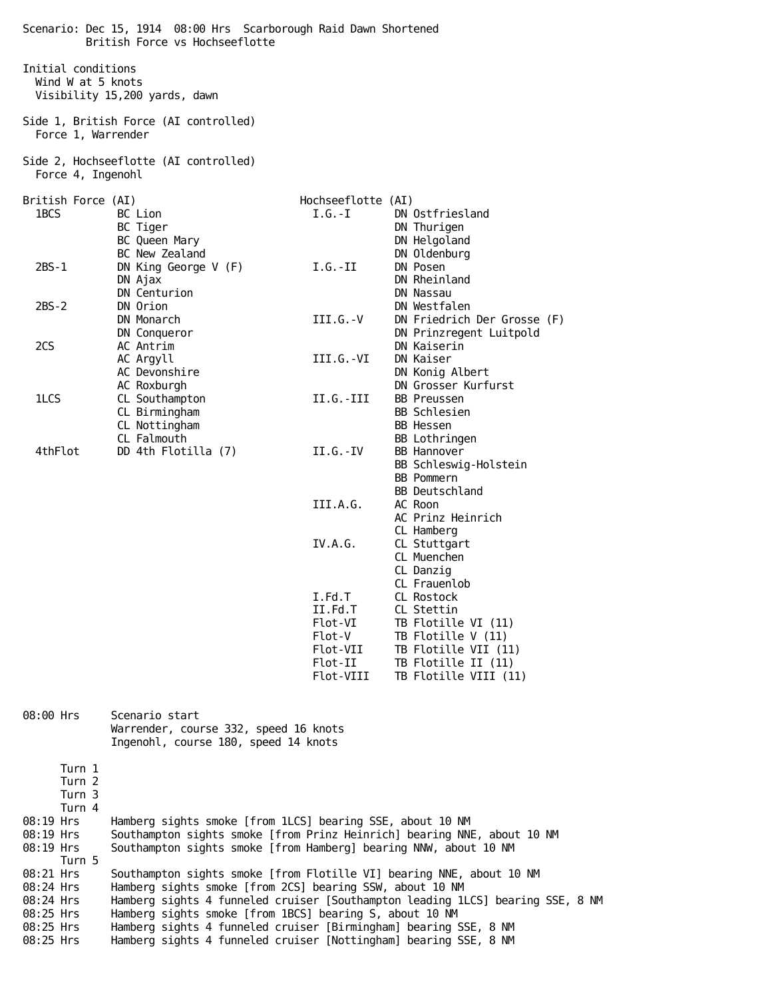Scenario: Dec 15, 1914 08:00 Hrs Scarborough Raid Dawn Shortened British Force vs Hochseeflotte Initial conditions Wind W at 5 knots Visibility 15,200 yards, dawn Side 1, British Force (AI controlled) Force 1, Warrender Side 2, Hochseeflotte (AI controlled) Force 4, Ingenohl British Force (AI) and the Hochseeflotte (AI) 1BCS BC Lion BC Lion I.G.-I DN Ostfriesland<br>BC Tiger BC Tiger DN Thurigen DN Thurigen BC Queen Mary **DR Helgoland** BC New Zealand DN Oldenburg 2BS-1 DN King George V (F) I.G.-II DN Posen DN Ajax DN Rheinland DN Centurion DN Nassau 2BS-2 DN Orion DN Westfalen DN Monarch III.G.-V DN Friedrich Der Grosse (F) DN Conqueror DN Prinzregent Luitpold 2CS AC Antrim DN Kaiserin AC Argyll **III.G.-VI** DN Kaiser AC Devonshire **DN** Konig Albert AC Roxburgh DN Grosser Kurfurst 1LCS CL Southampton II.G.-III BB Preussen CL Birmingham BB Schlesien CL Nottingham BB Hessen CL Falmouth BB Lothringen 4thFlot DD 4th Flotilla (7) II.G.-IV BB Hannover BB Schleswig-Holstein BB Pommern BB Deutschland III.A.G. AC Roon AC Prinz Heinrich CL Hamberg<br>IV.A.G. CL Stuttga CL Stuttgart CL Muenchen CL Danzig CL Frauenlob I.Fd.T CL Rostock II.Fd.T CL Stettin<br>Flot-VI TB Flotille Flot-VI TB Flotille VI (11)<br>Flot-V TB Flotille V (11) TB Flotille  $V(11)$  Flot-VII TB Flotille VII (11) Flot-II TB Flotille II (11) Flot-VIII TB Flotille VIII (11) 08:00 Hrs Scenario start Warrender, course 332, speed 16 knots Ingenohl, course 180, speed 14 knots Turn 1 Turn 2 Turn 3 Turn 4 08:19 Hrs Hamberg sights smoke [from 1LCS] bearing SSE, about 10 NM 08:19 Hrs Southampton sights smoke [from Prinz Heinrich] bearing NNE, about 10 NM 08:19 Hrs Southampton sights smoke [from Hamberg] bearing NNW, about 10 NM Turn 5 08:21 Hrs Southampton sights smoke [from Flotille VI] bearing NNE, about 10 NM 08:24 Hrs Hamberg sights smoke [from 2CS] bearing SSW, about 10 NM 08:24 Hrs Hamberg sights 4 funneled cruiser [Southampton leading 1LCS] bearing SSE, 8 NM 08:25 Hrs Hamberg sights smoke [from 1BCS] bearing S, about 10 NM 08:25 Hrs Hamberg sights 4 funneled cruiser [Birmingham] bearing SSE, 8 NM 08:25 Hrs Hamberg sights 4 funneled cruiser [Nottingham] bearing SSE, 8 NM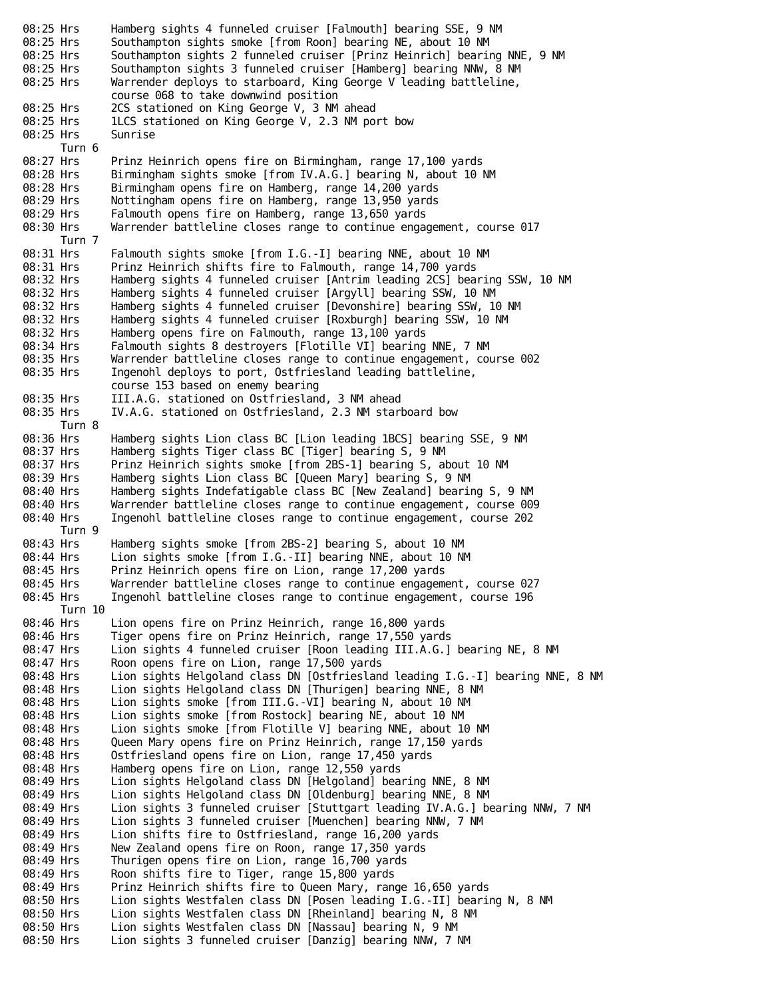08:25 Hrs Southampton sights smoke [from Roon] bearing NE, about 10 NM 08:25 Hrs Southampton sights 2 funneled cruiser [Prinz Heinrich] bearing NNE, 9 NM 08:25 Hrs Southampton sights 3 funneled cruiser [Hamberg] bearing NNW, 8 NM 08:25 Hrs Warrender deploys to starboard, King George V leading battleline, course 068 to take downwind position 08:25 Hrs 2CS stationed on King George V, 3 NM ahead 08:25 Hrs 1LCS stationed on King George V, 2.3 NM port bow 08:25 Hrs Sunrise Turn 6<br>08:27 Hrs Prinz Heinrich opens fire on Birmingham, range 17,100 yards 08:28 Hrs Birmingham sights smoke [from IV.A.G.] bearing N, about 10 NM 08:28 Hrs Birmingham opens fire on Hamberg, range 14,200 yards 08:29 Hrs Nottingham opens fire on Hamberg, range 13,950 yards<br>08:29 Hrs Falmouth opens fire on Hamberg, range 13,650 yards 08:29 Hrs Falmouth opens fire on Hamberg, range 13,650 yards<br>08:30 Hrs Warrender battleline closes range to continue enga Warrender battleline closes range to continue engagement, course 017 Turn 7 08:31 Hrs Falmouth sights smoke [from I.G.-I] bearing NNE, about 10 NM 08:31 Hrs Prinz Heinrich shifts fire to Falmouth, range 14,700 yards 08:32 Hrs Hamberg sights 4 funneled cruiser [Antrim leading 2CS] bearing SSW, 10 NM 08:32 Hrs Hamberg sights 4 funneled cruiser [Argyll] bearing SSW, 10 NM 08:32 Hrs Hamberg sights 4 funneled cruiser [Devonshire] bearing SSW, 10 NM 08:32 Hrs Hamberg sights 4 funneled cruiser [Roxburgh] bearing SSW, 10 NM 08:32 Hrs Hamberg opens fire on Falmouth, range 13,100 yards 08:34 Hrs Falmouth sights 8 destroyers [Flotille VI] bearing NNE, 7 NM 08:35 Hrs Warrender battleline closes range to continue engagement, course 002 08:35 Hrs Ingenohl deploys to port, Ostfriesland leading battleline, course 153 based on enemy bearing 08:35 Hrs III.A.G. stationed on Ostfriesland, 3 NM ahead 08:35 Hrs IV.A.G. stationed on Ostfriesland, 2.3 NM starboard bow Turn 8 08:36 Hrs Hamberg sights Lion class BC [Lion leading 1BCS] bearing SSE, 9 NM 08:37 Hrs Hamberg sights Tiger class BC [Tiger] bearing S, 9 NM 08:37 Hrs Prinz Heinrich sights smoke [from 2BS-1] bearing S, about 10 NM 08:39 Hrs Hamberg sights Lion class BC [Queen Mary] bearing S, 9 NM 08:40 Hrs Hamberg sights Indefatigable class BC [New Zealand] bearing S, 9 NM 08:40 Hrs Warrender battleline closes range to continue engagement, course 009 08:40 Hrs Ingenohl battleline closes range to continue engagement, course 202 Turn 9 08:43 Hrs Hamberg sights smoke [from 2BS-2] bearing S, about 10 NM 08:44 Hrs Lion sights smoke [from I.G.-II] bearing NNE, about 10 NM 08:45 Hrs Prinz Heinrich opens fire on Lion, range 17,200 yards<br>08:45 Hrs Warrender battleline closes range to continue engagem 08:45 Hrs Warrender battleline closes range to continue engagement, course 027<br>08:45 Hrs Ingenohl battleline closes range to continue engagement, course 196 Ingenohl battleline closes range to continue engagement, course 196 Turn 10 08:46 Hrs Lion opens fire on Prinz Heinrich, range 16,800 yards 08:46 Hrs Tiger opens fire on Prinz Heinrich, range 17,550 yards<br>08:47 Hrs Lion sights 4 funneled cruiser [Roon leading III.A.G.] Lion sights 4 funneled cruiser [Roon leading III.A.G.] bearing NE, 8 NM 08:47 Hrs Roon opens fire on Lion, range 17,500 yards 08:48 Hrs Lion sights Helgoland class DN [Ostfriesland leading I.G.-I] bearing NNE, 8 NM 08:48 Hrs Lion sights Helgoland class DN [Thurigen] bearing NNE, 8 NM 08:48 Hrs Lion sights smoke [from III.G.-VI] bearing N, about 10 NM 08:48 Hrs Lion sights smoke [from Rostock] bearing NE, about 10 NM 08:48 Hrs Lion sights smoke [from Flotille V] bearing NNE, about 10 NM 08:48 Hrs Queen Mary opens fire on Prinz Heinrich, range 17,150 yards 08:48 Hrs Ostfriesland opens fire on Lion, range 17,450 yards 08:48 Hrs Hamberg opens fire on Lion, range 12,550 yards 08:49 Hrs Lion sights Helgoland class DN [Helgoland] bearing NNE, 8 NM 08:49 Hrs Lion sights Helgoland class DN [Oldenburg] bearing NNE, 8 NM 08:49 Hrs Lion sights 3 funneled cruiser [Stuttgart leading IV.A.G.] bearing NNW, 7 NM 08:49 Hrs Lion sights 3 funneled cruiser [Muenchen] bearing NNW, 7 NM 08:49 Hrs Lion shifts fire to Ostfriesland, range 16,200 yards 08:49 Hrs New Zealand opens fire on Roon, range 17,350 yards 08:49 Hrs Thurigen opens fire on Lion, range 16,700 yards 08:49 Hrs Roon shifts fire to Tiger, range 15,800 yards 08:49 Hrs Prinz Heinrich shifts fire to Queen Mary, range 16,650 yards 08:50 Hrs Lion sights Westfalen class DN [Posen leading I.G.-II] bearing N, 8 NM 08:50 Hrs Lion sights Westfalen class DN [Rheinland] bearing N, 8 NM 08:50 Hrs Lion sights Westfalen class DN [Nassau] bearing N, 9 NM 08:50 Hrs Lion sights 3 funneled cruiser [Danzig] bearing NNW, 7 NM

08:25 Hrs Hamberg sights 4 funneled cruiser [Falmouth] bearing SSE, 9 NM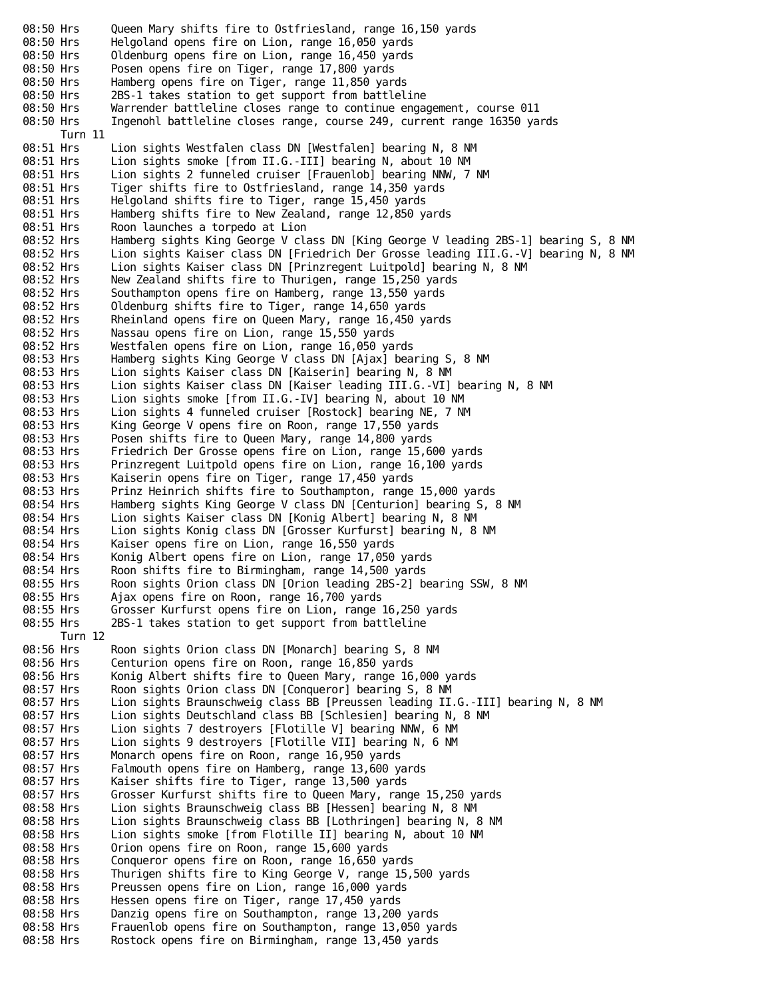08:50 Hrs Queen Mary shifts fire to Ostfriesland, range 16,150 yards 08:50 Hrs Helgoland opens fire on Lion, range 16,050 yards 08:50 Hrs Oldenburg opens fire on Lion, range 16,450 yards 08:50 Hrs Posen opens fire on Tiger, range 17,800 yards 08:50 Hrs Hamberg opens fire on Tiger, range 11,850 yards 08:50 Hrs 2BS-1 takes station to get support from battleline 08:50 Hrs Warrender battleline closes range to continue engagement, course 011 08:50 Hrs Ingenohl battleline closes range, course 249, current range 16350 yards Turn 11<br>08:51 Hrs Lion sights Westfalen class DN [Westfalen] bearing N, 8 NM 08:51 Hrs Lion sights smoke [from II.G.-III] bearing N, about 10 NM 08:51 Hrs Lion sights 2 funneled cruiser [Frauenlob] bearing NNW, 7 NM 08:51 Hrs Tiger shifts fire to Ostfriesland, range 14,350 yards 08:51 Hrs Helgoland shifts fire to Tiger, range 15,450 yards 08:51 Hrs Hamberg shifts fire to New Zealand, range 12,850 yards 08:51 Hrs Roon launches a torpedo at Lion 08:52 Hrs Hamberg sights King George V class DN [King George V leading 2BS-1] bearing S, 8 NM 08:52 Hrs Lion sights Kaiser class DN [Friedrich Der Grosse leading III.G.-V] bearing N, 8 NM 08:52 Hrs Lion sights Kaiser class DN [Prinzregent Luitpold] bearing N, 8 NM 08:52 Hrs New Zealand shifts fire to Thurigen, range 15,250 yards 08:52 Hrs Southampton opens fire on Hamberg, range 13,550 yards 08:52 Hrs Oldenburg shifts fire to Tiger, range 14,650 yards 08:52 Hrs Rheinland opens fire on Queen Mary, range 16,450 yards 08:52 Hrs Nassau opens fire on Lion, range 15,550 yards 08:52 Hrs Westfalen opens fire on Lion, range 16,050 yards 08:53 Hrs Hamberg sights King George V class DN [Ajax] bearing S, 8 NM 08:53 Hrs Lion sights Kaiser class DN [Kaiserin] bearing N, 8 NM 08:53 Hrs Lion sights Kaiser class DN [Kaiser leading III.G.-VI] bearing N, 8 NM 08:53 Hrs Lion sights smoke [from II.G.-IV] bearing N, about 10 NM 08:53 Hrs Lion sights 4 funneled cruiser [Rostock] bearing NE, 7 NM 08:53 Hrs King George V opens fire on Roon, range 17,550 yards 08:53 Hrs Posen shifts fire to Queen Mary, range 14,800 yards 08:53 Hrs Friedrich Der Grosse opens fire on Lion, range 15,600 yards 08:53 Hrs Prinzregent Luitpold opens fire on Lion, range 16,100 yards 08:53 Hrs Kaiserin opens fire on Tiger, range 17,450 yards 08:53 Hrs Prinz Heinrich shifts fire to Southampton, range 15,000 yards 08:54 Hrs Hamberg sights King George V class DN [Centurion] bearing S, 8 NM 08:54 Hrs Lion sights Kaiser class DN [Konig Albert] bearing N, 8 NM 08:54 Hrs Lion sights Konig class DN [Grosser Kurfurst] bearing N, 8 NM 08:54 Hrs Kaiser opens fire on Lion, range 16,550 yards 08:54 Hrs Konig Albert opens fire on Lion, range 17,050 yards<br>08:54 Hrs Roon shifts fire to Birmingham, range 14,500 vards 08:54 Hrs Roon shifts fire to Birmingham, range 14,500 yards Roon sights Orion class DN [Orion leading 2BS-2] bearing SSW, 8 NM 08:55 Hrs Ajax opens fire on Roon, range 16,700 yards 08:55 Hrs Grosser Kurfurst opens fire on Lion, range 16,250 yards<br>08:55 Hrs 2BS-1 takes station to get support from battleline 2BS-1 takes station to get support from battleline Turn 12 08:56 Hrs Roon sights Orion class DN [Monarch] bearing S, 8 NM 08:56 Hrs Centurion opens fire on Roon, range 16,850 yards 08:56 Hrs Konig Albert shifts fire to Queen Mary, range 16,000 yards 08:57 Hrs Roon sights Orion class DN [Conqueror] bearing S, 8 NM 08:57 Hrs Lion sights Braunschweig class BB [Preussen leading II.G.-III] bearing N, 8 NM 08:57 Hrs Lion sights Deutschland class BB [Schlesien] bearing N, 8 NM 08:57 Hrs Lion sights 7 destroyers [Flotille V] bearing NNW, 6 NM 08:57 Hrs Lion sights 9 destroyers [Flotille VII] bearing N, 6 NM 08:57 Hrs Monarch opens fire on Roon, range 16,950 yards 08:57 Hrs Falmouth opens fire on Hamberg, range 13,600 yards 08:57 Hrs Kaiser shifts fire to Tiger, range 13,500 yards 08:57 Hrs Grosser Kurfurst shifts fire to Queen Mary, range 15,250 yards 08:58 Hrs Lion sights Braunschweig class BB [Hessen] bearing N, 8 NM 08:58 Hrs Lion sights Braunschweig class BB [Lothringen] bearing N, 8 NM 08:58 Hrs Lion sights smoke [from Flotille II] bearing N, about 10 NM 08:58 Hrs Orion opens fire on Roon, range 15,600 yards 08:58 Hrs Conqueror opens fire on Roon, range 16,650 yards 08:58 Hrs Thurigen shifts fire to King George V, range 15,500 yards 08:58 Hrs Preussen opens fire on Lion, range 16,000 yards 08:58 Hrs Hessen opens fire on Tiger, range 17,450 yards 08:58 Hrs Danzig opens fire on Southampton, range 13,200 yards 08:58 Hrs Frauenlob opens fire on Southampton, range 13,050 yards 08:58 Hrs Rostock opens fire on Birmingham, range 13,450 yards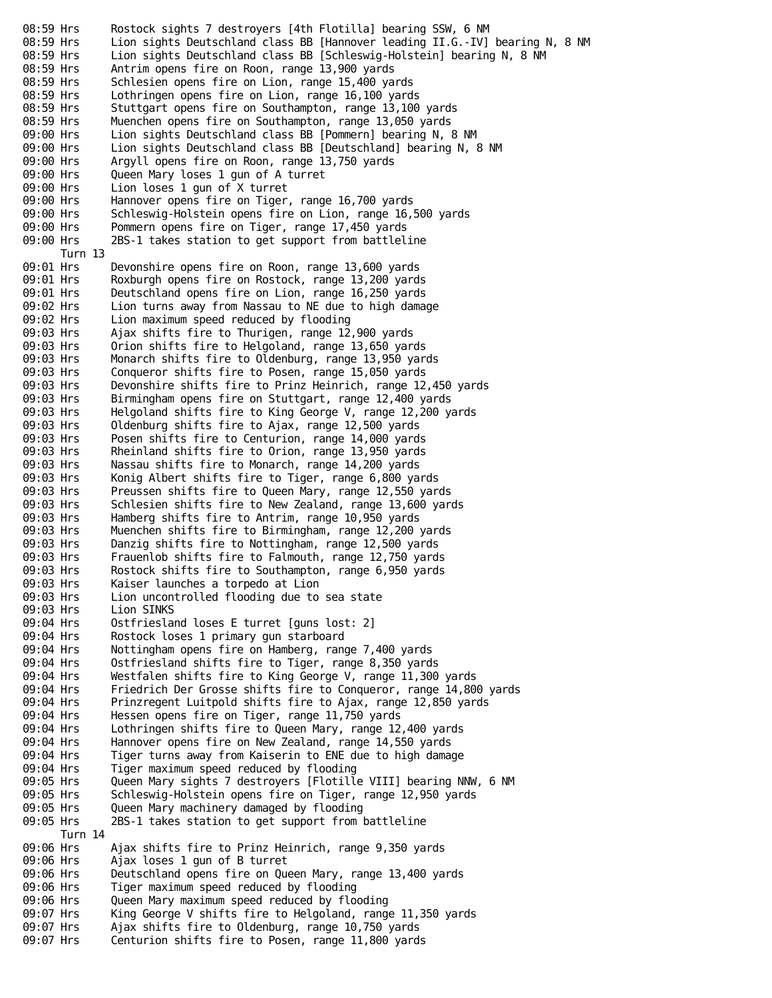08:59 Hrs Bostock sights 7 destroyers [4th Flotilla] bearing SSW, 6 NM 08:59 Hrs Lion sights Deutschland class BB [Hannover leading II.G.-IV] bearing N, 8 NM 08:59 Hrs Lion sights Deutschland class BB [Schleswig-Holstein] bearing N, 8 NM 08:59 Hrs Antrim opens fire on Roon, range 13,900 yards 08:59 Hrs Schlesien opens fire on Lion, range 15,400 yards 08:59 Hrs Lothringen opens fire on Lion, range 16,100 yards 08:59 Hrs Stuttgart opens fire on Southampton, range 13,100 yards 08:59 Hrs Muenchen opens fire on Southampton, range 13,050 yards 09:00 Hrs Lion sights Deutschland class BB [Pommern] bearing N, 8 NM 09:00 Hrs Lion sights Deutschland class BB [Deutschland] bearing N, 8 NM 09:00 Hrs Argyll opens fire on Roon, range 13,750 yards 09:00 Hrs Queen Mary loses 1 gun of A turret 09:00 Hrs Lion loses 1 gun of X turret<br>09:00 Hrs Hannover opens fire on Tiger, Hannover opens fire on Tiger, range 16,700 yards 09:00 Hrs Schleswig-Holstein opens fire on Lion, range 16,500 yards<br>09:00 Hrs Pommern opens fire on Tiger, range 17,450 yards Pommern opens fire on Tiger, range 17,450 yards 09:00 Hrs 2BS-1 takes station to get support from battleline Turn 13 09:01 Hrs Devonshire opens fire on Roon, range 13,600 yards 09:01 Hrs Roxburgh opens fire on Rostock, range 13,200 yards 09:01 Hrs Deutschland opens fire on Lion, range 16,250 yards 09:02 Hrs Lion turns away from Nassau to NE due to high damage 09:02 Hrs Lion maximum speed reduced by flooding 09:03 Hrs Ajax shifts fire to Thurigen, range 12,900 yards 09:03 Hrs Orion shifts fire to Helgoland, range 13,650 yards 09:03 Hrs Monarch shifts fire to Oldenburg, range 13,950 yards 09:03 Hrs Conqueror shifts fire to Posen, range 15,050 yards 09:03 Hrs Devonshire shifts fire to Prinz Heinrich, range 12,450 yards 09:03 Hrs Birmingham opens fire on Stuttgart, range 12,400 yards 09:03 Hrs Helgoland shifts fire to King George V, range 12,200 yards 09:03 Hrs Oldenburg shifts fire to Ajax, range 12,500 yards 09:03 Hrs Posen shifts fire to Centurion, range 14,000 yards 09:03 Hrs Rheinland shifts fire to Orion, range 13,950 yards 09:03 Hrs Nassau shifts fire to Monarch, range 14,200 yards 09:03 Hrs Konig Albert shifts fire to Tiger, range 6,800 yards 09:03 Hrs Preussen shifts fire to Queen Mary, range 12,550 yards 09:03 Hrs Schlesien shifts fire to New Zealand, range 13,600 yards 09:03 Hrs Hamberg shifts fire to Antrim, range 10,950 yards 09:03 Hrs Muenchen shifts fire to Birmingham, range 12,200 yards 09:03 Hrs Danzig shifts fire to Nottingham, range 12,500 yards 09:03 Hrs Frauenlob shifts fire to Falmouth, range 12,750 yards 09:03 Hrs Rostock shifts fire to Southampton, range 6,950 yards 09:03 Hrs Kaiser launches a torpedo at Lion 09:03 Hrs Lion uncontrolled flooding due to sea state 09:03 Hrs Lion SINKS 09:04 Hrs Ostfriesland loses E turret [guns lost: 2] 09:04 Hrs Rostock loses 1 primary gun starboard 09:04 Hrs Nottingham opens fire on Hamberg, range 7,400 yards 09:04 Hrs Ostfriesland shifts fire to Tiger, range 8,350 yards<br>09:04 Hrs Westfalen shifts fire to King George V, range 11,300 Westfalen shifts fire to King George V, range 11,300 yards 09:04 Hrs Friedrich Der Grosse shifts fire to Conqueror, range 14,800 yards 09:04 Hrs Prinzregent Luitpold shifts fire to Ajax, range 12,850 yards 09:04 Hrs Hessen opens fire on Tiger, range 11,750 yards 09:04 Hrs Lothringen shifts fire to Queen Mary, range 12,400 yards 09:04 Hrs Hannover opens fire on New Zealand, range 14,550 yards 09:04 Hrs Tiger turns away from Kaiserin to ENE due to high damage 09:04 Hrs Tiger maximum speed reduced by flooding 09:05 Hrs Queen Mary sights 7 destroyers [Flotille VIII] bearing NNW, 6 NM 09:05 Hrs Schleswig-Holstein opens fire on Tiger, range 12,950 yards 09:05 Hrs Queen Mary machinery damaged by flooding 09:05 Hrs 2BS-1 takes station to get support from battleline Turn 14 09:06 Hrs Ajax shifts fire to Prinz Heinrich, range 9,350 yards 09:06 Hrs Ajax loses 1 gun of B turret 09:06 Hrs Deutschland opens fire on Queen Mary, range 13,400 yards 09:06 Hrs Tiger maximum speed reduced by flooding 09:06 Hrs Queen Mary maximum speed reduced by flooding 09:07 Hrs King George V shifts fire to Helgoland, range 11,350 yards 09:07 Hrs Ajax shifts fire to Oldenburg, range 10,750 yards 09:07 Hrs Centurion shifts fire to Posen, range 11,800 yards